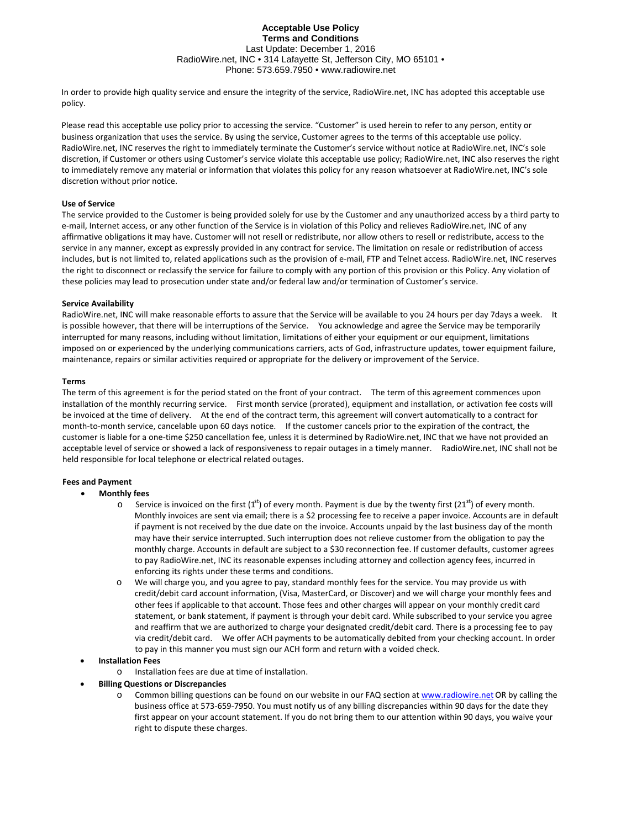# **Acceptable Use Policy Terms and Conditions**  Last Update: December 1, 2016 RadioWire.net, INC • 314 Lafayette St, Jefferson City, MO 65101 • Phone: 573.659.7950 • www.radiowire.net

In order to provide high quality service and ensure the integrity of the service, RadioWire.net, INC has adopted this acceptable use policy.

Please read this acceptable use policy prior to accessing the service. "Customer" is used herein to refer to any person, entity or business organization that uses the service. By using the service, Customer agrees to the terms of this acceptable use policy. RadioWire.net, INC reserves the right to immediately terminate the Customer's service without notice at RadioWire.net, INC's sole discretion, if Customer or others using Customer's service violate this acceptable use policy; RadioWire.net, INC also reserves the right to immediately remove any material or information that violates this policy for any reason whatsoever at RadioWire.net, INC's sole discretion without prior notice.

# **Use of Service**

The service provided to the Customer is being provided solely for use by the Customer and any unauthorized access by a third party to e-mail, Internet access, or any other function of the Service is in violation of this Policy and relieves RadioWire.net, INC of any affirmative obligations it may have. Customer will not resell or redistribute, nor allow others to resell or redistribute, access to the service in any manner, except as expressly provided in any contract for service. The limitation on resale or redistribution of access includes, but is not limited to, related applications such as the provision of e‐mail, FTP and Telnet access. RadioWire.net, INC reserves the right to disconnect or reclassify the service for failure to comply with any portion of this provision or this Policy. Any violation of these policies may lead to prosecution under state and/or federal law and/or termination of Customer's service.

# **Service Availability**

RadioWire.net, INC will make reasonable efforts to assure that the Service will be available to you 24 hours per day 7days a week. It is possible however, that there will be interruptions of the Service. You acknowledge and agree the Service may be temporarily interrupted for many reasons, including without limitation, limitations of either your equipment or our equipment, limitations imposed on or experienced by the underlying communications carriers, acts of God, infrastructure updates, tower equipment failure, maintenance, repairs or similar activities required or appropriate for the delivery or improvement of the Service.

# **Terms**

acceptable level of service or showed a lack of responsiveness to repair outages in a timely manner. RadioWire.net, INC shall not be held responsible for local telephone or electrical related outages. The term of this agreement is for the period stated on the front of your contract. The term of this agreement commences upon installation of the monthly recurring service. First month service (prorated), equipment and installation, or activation fee costs will be invoiced at the time of delivery. At the end of the contract term, this agreement will convert automatically to a contract for month-to-month service, cancelable upon 60 days notice. If the customer cancels prior to the expiration of the contract, the customer is liable for a one‐time \$250 cancellation fee, unless it is determined by RadioWire.net, INC that we have not provided an

# **Fees and Payment**

- **Monthly fees**
	- $\circ$  Service is invoiced on the first (1<sup>st</sup>) of every month. Payment is due by the twenty first (21<sup>st</sup>) of every month. Monthly invoices are sent via email; there is a \$2 processing fee to receive a paper invoice. Accounts are in default if payment is not received by the due date on the invoice. Accounts unpaid by the last business day of the month may have their service interrupted. Such interruption does not relieve customer from the obligation to pay the monthly charge. Accounts in default are subject to a \$30 reconnection fee. If customer defaults, customer agrees to pay RadioWire.net, INC its reasonable expenses including attorney and collection agency fees, incurred in enforcing its rights under these terms and conditions.
	- to pay in this manner you must sign our ACH form and return with a voided check. o We will charge you, and you agree to pay, standard monthly fees for the service. You may provide us with credit/debit card account information, (Visa, MasterCard, or Discover) and we will charge your monthly fees and other fees if applicable to that account. Those fees and other charges will appear on your monthly credit card statement, or bank statement, if payment is through your debit card. While subscribed to your service you agree and reaffirm that we are authorized to charge your designated credit/debit card. There is a processing fee to pay via credit/debit card. We offer ACH payments to be automatically debited from your checking account. In order
- **Installation Fees**
	- o Installation fees are due at time of installation.
- **Billing Questions or Discrepancies**
	- Common billing questions can be found on our website in our FAQ section at [www.radiowire.net](http://www.radiowire.net/) OR by calling the business office at 573‐659‐7950. You must notify us of any billing discrepancies within 90 days for the date they first appear on your account statement. If you do not bring them to our attention within 90 days, you waive your right to dispute these charges.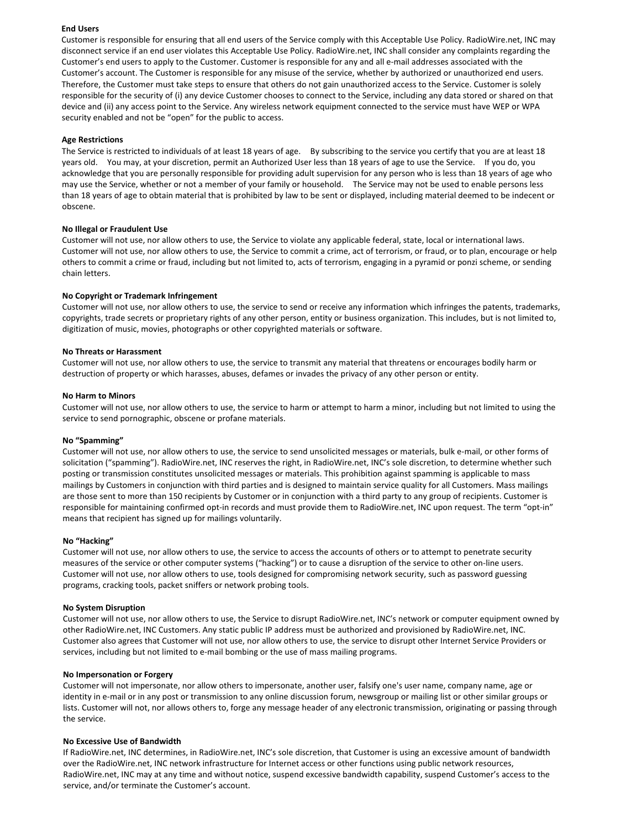## **End Users**

Customer is responsible for ensuring that all end users of the Service comply with this Acceptable Use Policy. RadioWire.net, INC may disconnect service if an end user violates this Acceptable Use Policy. RadioWire.net, INC shall consider any complaints regarding the Customer's end users to apply to the Customer. Customer is responsible for any and all e‐mail addresses associated with the Customer's account. The Customer is responsible for any misuse of the service, whether by authorized or unauthorized end users. Therefore, the Customer must take steps to ensure that others do not gain unauthorized access to the Service. Customer is solely responsible for the security of (i) any device Customer chooses to connect to the Service, including any data stored or shared on that device and (ii) any access point to the Service. Any wireless network equipment connected to the service must have WEP or WPA security enabled and not be "open" for the public to access.

### **Age Restrictions**

The Service is restricted to individuals of at least 18 years of age. By subscribing to the service you certify that you are at least 18 years old. You may, at your discretion, permit an Authorized User less than 18 years of age to use the Service. If you do, yo u acknowledge that you are personally responsible for providing adult supervision for any person who is less than 18 years of age who may use the Service, whether or not a member of your family or household. The Service may not be used to enable persons less than 18 years of age to obtain material that is prohibited by law to be sent or displayed, including material deemed to be indecen t or obscene.

### **No Illegal or Fraudulent Use**

Customer will not use, nor allow others to use, the Service to violate any applicable federal, state, local or international laws. Customer will not use, nor allow others to use, the Service to commit a crime, act of terrorism, or fraud, or to plan, encourage or help others to commit a crime or fraud, including but not limited to, acts of terrorism, engaging in a pyramid or ponzi scheme, or sending chain letters.

### **No Copyright or Trademark Infringement**

Customer will not use, nor allow others to use, the service to send or receive any information which infringes the patents, trademarks, copyrights, trade secrets or proprietary rights of any other person, entity or business organization. This includes, but is not limited to, digitization of music, movies, photographs or other copyrighted materials or software.

### **No Threats or Harassment**

Customer will not use, nor allow others to use, the service to transmit any material that threatens or encourages bodily harm or destruction of property or which harasses, abuses, defames or invades the privacy of any other person or entity.

### **No Harm to Minors**

Customer will not use, nor allow others to use, the service to harm or attempt to harm a minor, including but not limited to using the service to send pornographic, obscene or profane materials.

#### **No "Spamming"**

Customer will not use, nor allow others to use, the service to send unsolicited messages or materials, bulk e‐mail, or other forms of solicitation ("spamming"). RadioWire.net, INC reserves the right, in RadioWire.net, INC's sole discretion, to determine whether such posting or transmission constitutes unsolicited messages or materials. This prohibition against spamming is applicable to mass mailings by Customers in conjunction with third parties and is designed to maintain service quality for all Customers. Mass mailings are those sent to more than 150 recipients by Customer or in conjunction with a third party to any group of recipients. Customer is responsible for maintaining confirmed opt-in records and must provide them to RadioWire.net, INC upon request. The term "opt-in" means that recipient has signed up for mailings voluntarily.

#### **No "Hacking"**

Customer will not use, nor allow others to use, the service to access the accounts of others or to attempt to penetrate security measures of the service or other computer systems ("hacking") or to cause a disruption of the service to other on‐line users. Customer will not use, nor allow others to use, tools designed for compromising network security, such as password guessing programs, cracking tools, packet sniffers or network probing tools.

### **No System Disruption**

Customer will not use, nor allow others to use, the Service to disrupt RadioWire.net, INC's network or computer equipment owned by other RadioWire.net, INC Customers. Any static public IP address must be authorized and provisioned by RadioWire.net, INC. Customer also agrees that Customer will not use, nor allow others to use, the service to disrupt other Internet Service Providers or services, including but not limited to e-mail bombing or the use of mass mailing programs.

### **No Impersonation or Forgery**

Customer will not impersonate, nor allow others to impersonate, another user, falsify one's user name, company name, age or identity in e-mail or in any post or transmission to any online discussion forum, newsgroup or mailing list or other similar groups or lists. Customer will not, nor allows others to, forge any message header of any electronic transmission, originating or passing through the service.

# **No Excessive Use of Bandwidth**

If RadioWire.net, INC determines, in RadioWire.net, INC's sole discretion, that Customer is using an excessive amount of bandwidth over the RadioWire.net, INC network infrastructure for Internet access or other functions using public network resources, RadioWire.net, INC may at any time and without notice, suspend excessive bandwidth capability, suspend Customer's access to the service, and/or terminate the Customer's account.